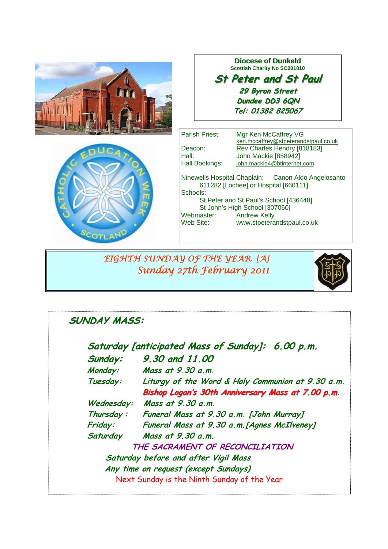



### **Diocese of Dunkeld Scottish Charity No SC001810**

## **St Peter and St Paul St Peter and St Paul 29 Byron Street 29 Byron Dundee DD3 6QN Tel: 01382 825067**

| Parish Priest: | Mgr Ken McCaffrey VG                                                                        |
|----------------|---------------------------------------------------------------------------------------------|
|                | ken.mccaffrey@stpeterandstpaul.co.uk                                                        |
| Deacon:        | Rev Charles Hendry [818183]                                                                 |
| Hall:          | John Mackie [858942]                                                                        |
|                |                                                                                             |
| Hall Bookings: | john.mackie4@btinternet.com                                                                 |
| Schools:       | Ninewells Hospital Chaplain: Canon Aldo Angelosanto<br>611282 [Lochee] or Hospital [660111] |
|                | St Peter and St Paul's School [436448]                                                      |
|                |                                                                                             |
|                | St John's High School [307060]                                                              |
| Webmaster:     | <b>Andrew Kelly</b>                                                                         |
| Web Site:      | www.stpeterandstpaul.co.uk                                                                  |
|                |                                                                                             |

 *EIGHTH SUNDAY OF THE YEAR [A] Sunday 27th February 2011* 



# **SUNDAY MASS:**

| Saturday [anticipated Mass of Sunday]: 6.00 p.m.  |  |
|---------------------------------------------------|--|
| 9.30 and 11,00                                    |  |
| Mass at 9.30 a.m.                                 |  |
| Liturgy of the Word & Holy Communion at 9.30 a.m. |  |
| Bishop Logan's 30th Anniversary Mass at 7.00 p.m. |  |
| Mass at 9,30 a.m.                                 |  |
| Funeral Mass at 9.30 a.m. [John Murray]           |  |
| Funeral Mass at 9.30 a.m. [Agnes McIlveney]       |  |
| Mass at 9.30 a.m.                                 |  |
| THE SACRAMENT OF RECONCILIATION                   |  |
| Saturday before and after Vigil Mass              |  |
| Any time on request (except Sundays)              |  |
| Next Sunday is the Ninth Sunday of the Year       |  |
|                                                   |  |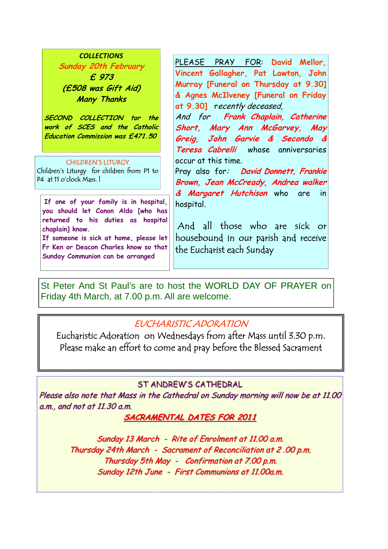### *COLLECTIONS*

**Sunday 20th February £ 973 (£508 was Gift Aid) Many Thanks** 

**SECOND COLLECTION tor the work of SCES and the Catholic Education Commission was £471.50** 

#### CHILDREN'S LITURGY

Children's Liturgy for children from P1 to P4 at 11 o'clock Mass. l

**If one of your family is in hospital, you should let Canon Aldo [who has returned to his duties as hospital chaplain] know.** 

**If someone is sick at home, please let Fr Ken or Deacon Charles know so that Sunday Communion can be arranged**

PLEASE PRAY FOR: **David Mellor, Vincent Gallagher, Pat Lawton, John Murray [Funeral on Thursday at 9.30] & Agnes McIlveney [Funeral on Friday at 9.30]** recently deceased,

And for **Frank Chaplain, Catherine Short, Mary Ann McGarvey, May Greig, John Garvie & Secondo & Teresa Cabrelli** whose anniversaries occur at this time.

Pray also for: **David Donnett, Frankie Brown, Jean McCready, Andrea walker & Margaret Hutchison** who are in hospital.

 And all those who are sick or housebound in our parish and receive the Eucharist each Sunday

St Peter And St Paul's are to host the WORLD DAY OF PRAYER on Friday 4th March, at 7.00 p.m. All are welcome.

### EUCHARISTIC ADORATION

Eucharistic Adoration on Wednesdays from after Mass until 3.30 p.m. Please make an effort to come and pray before the Blessed Sacrament

### ST ANDREW'S CATHEDRAL

Please also note that Mass in the Cathedral on Sunday morning will now be at 11.00 a.m., and not at  $11.30$  a.m.

### **SACRAMENTAL DATES FOR 2011**

Sunday 13 March - Rite of Enrolment at 11.00 a.m. Thursday 24th March - Sacrament of Reconciliation at 2.00 p.m. Thursday 5th May - Confirmation at  $7.00$  p.m. Sunday 12th June - First Communions at 11.00a.m.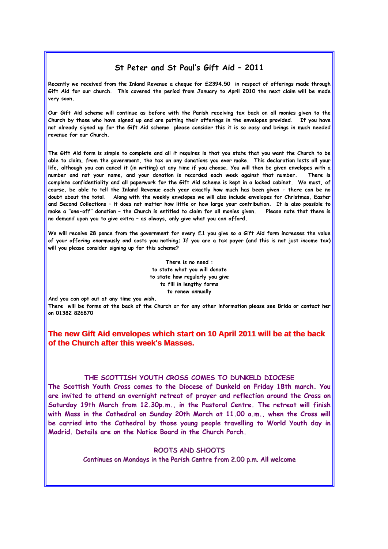### **St Peter and St Paul's Gift Aid – 2011**

**Recently we received from the Inland Revenue a cheque for £2394.50 in respect of offerings made through Gift Aid for our church. This covered the period from January to April 2010 the next claim will be made very soon.** 

**Our Gift Aid scheme will continue as before with the Parish receiving tax back on all monies given to the Church by those who have signed up and are putting their offerings in the envelopes provided. If you have not already signed up for the Gift Aid scheme please consider this it is so easy and brings in much needed revenue for our Church.** 

**The Gift Aid form is simple to complete and all it requires is that you state that you want the Church to be able to claim, from the government, the tax on any donations you ever make. This declaration lasts all your life, although you can cancel it (in writing) at any time if you choose. You will then be given envelopes with a number and not your name, and your donation is recorded each week against that number. There is complete confidentiality and all paperwork for the Gift Aid scheme is kept in a locked cabinet. We must, of course, be able to tell the Inland Revenue each year exactly how much has been given - there can be no doubt about the total. Along with the weekly envelopes we will also include envelopes for Christmas, Easter and Second Collections – it does not matter how little or how large your contribution. It is also possible to make a "one-off" donation – the Church is entitled to claim for all monies given. Please note that there is no demand upon you to give extra – as always, only give what you can afford.** 

**We will receive 28 pence from the government for every £1 you give so a Gift Aid form increases the value of your offering enormously and costs you nothing; If you are a tax payer (and this is not just income tax) will you please consider signing up for this scheme?** 

> **There is no need : to state what you will donate to state how regularly you give to fill in lengthy forms to renew annually**

**And you can opt out at any time you wish.** 

**There will be forms at the back of the Church or for any other information please see Brida or contact her on 01382 826870** 

### **The new Gift Aid envelopes which start on The new Gift Aid envelopes which start on 10 April 2011 will be at the back 10 April 2011 will be at the back of the Church after this week's Masses. of the Church after this week's Masses.**

### **THE SCOTTISH YOUTH CROSS COMES TO DUNKELD DIOCESE**

**The Scottish Youth Cross comes to the Diocese of Dunkeld on Friday 18th march. You are invited to attend an overnight retreat of prayer and reflection around the Cross on Saturday 19th March from 12.30p.m., in the Pastoral Centre. The retreat will finish with Mass in the Cathedral on Sunday 20th March at 11.00 a.m., when the Cross will be carried into the Cathedral by those young people travelling to World Youth day in Madrid. Details are on the Notice Board in the Church Porch.** 

#### ROOTS AND SHOOTS

Continues on Mondays in the Parish Centre from 2.00 p.m. All welcome